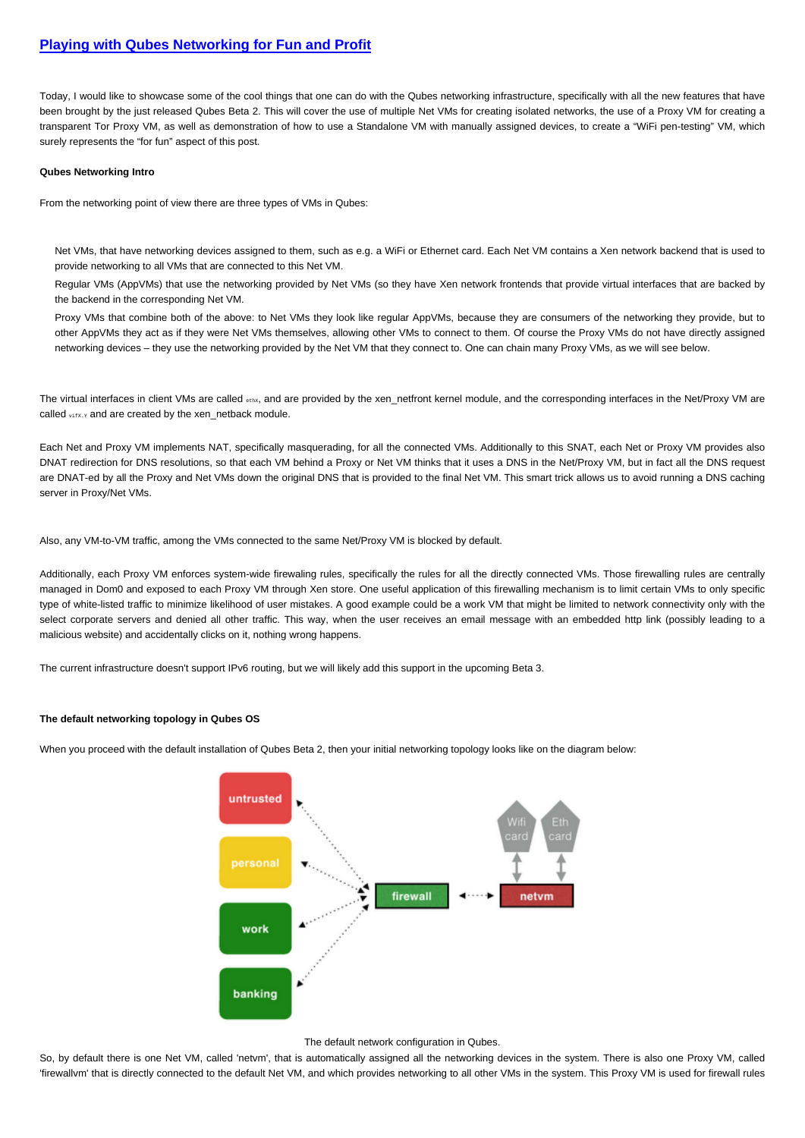## **[Playing with Qubes Networking for Fun and Profit](http://theinvisiblethings.blogspot.com/2011/09/playing-with-qubes-networking-for-fun.html)**

Today, I would like to showcase some of the cool things that one can do with the Qubes networking infrastructure, specifically with all the new features that have been brought by the just released Qubes Beta 2. This will cover the use of multiple Net VMs for creating isolated networks, the use of a Proxy VM for creating a transparent Tor Proxy VM, as well as demonstration of how to use a Standalone VM with manually assigned devices, to create a "WiFi pen-testing" VM, which surely represents the "for fun" aspect of this post.

#### **Qubes Networking Intro**

From the networking point of view there are three types of VMs in Qubes:

Net VMs, that have networking devices assigned to them, such as e.g. a WiFi or Ethernet card. Each Net VM contains a Xen network backend that is used to provide networking to all VMs that are connected to this Net VM.

Regular VMs (AppVMs) that use the networking provided by Net VMs (so they have Xen network frontends that provide virtual interfaces that are backed by the backend in the corresponding Net VM.

Proxy VMs that combine both of the above: to Net VMs they look like regular AppVMs, because they are consumers of the networking they provide, but to other AppVMs they act as if they were Net VMs themselves, allowing other VMs to connect to them. Of course the Proxy VMs do not have directly assigned networking devices – they use the networking provided by the Net VM that they connect to. One can chain many Proxy VMs, as we will see below.

The virtual interfaces in client VMs are called ethx, and are provided by the xen netfront kernel module, and the corresponding interfaces in the Net/Proxy VM are called vifx.y and are created by the xen\_netback module.

Each Net and Proxy VM implements NAT, specifically masquerading, for all the connected VMs. Additionally to this SNAT, each Net or Proxy VM provides also DNAT redirection for DNS resolutions, so that each VM behind a Proxy or Net VM thinks that it uses a DNS in the Net/Proxy VM, but in fact all the DNS request are DNAT-ed by all the Proxy and Net VMs down the original DNS that is provided to the final Net VM. This smart trick allows us to avoid running a DNS caching server in Proxy/Net VMs.

Also, any VM-to-VM traffic, among the VMs connected to the same Net/Proxy VM is blocked by default.

Additionally, each Proxy VM enforces system-wide firewaling rules, specifically the rules for all the directly connected VMs. Those firewalling rules are centrally managed in Dom0 and exposed to each Proxy VM through Xen store. One useful application of this firewalling mechanism is to limit certain VMs to only specific type of white-listed traffic to minimize likelihood of user mistakes. A good example could be a work VM that might be limited to network connectivity only with the select corporate servers and denied all other traffic. This way, when the user receives an email message with an embedded http link (possibly leading to a malicious website) and accidentally clicks on it, nothing wrong happens.

The current infrastructure doesn't support IPv6 routing, but we will likely add this support in the upcoming Beta 3.

### **The default networking topology in Qubes OS**

When you proceed with the default installation of Qubes Beta 2, then your initial networking topology looks like on the diagram below:



#### The default network configuration in Qubes.

So, by default there is one Net VM, called 'netvm', that is automatically assigned all the networking devices in the system. There is also one Proxy VM, called 'firewallvm' that is directly connected to the default Net VM, and which provides networking to all other VMs in the system. This Proxy VM is used for firewall rules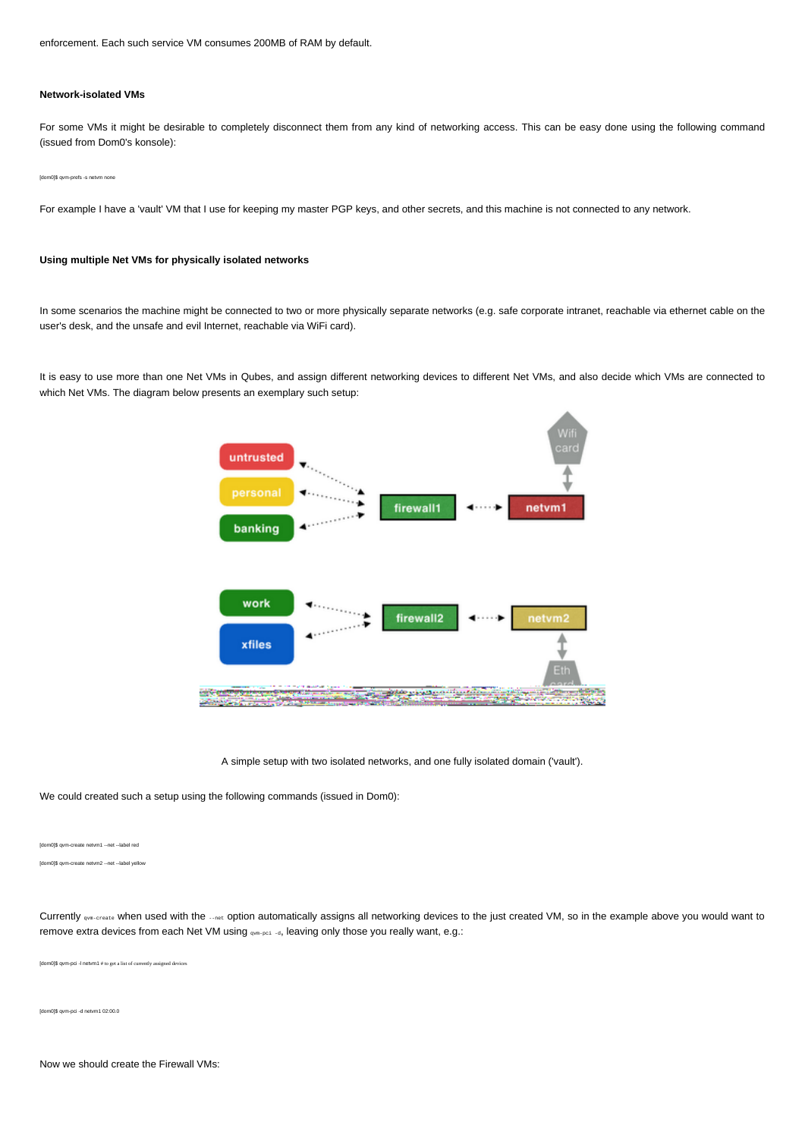enforcement. Each such service VM consumes 200MB of RAM by default.

### **Network-isolated VMs**

For some VMs it might be desirable to completely disconnect them from any kind of networking access. This can be easy done using the following command (issued from Dom0's konsole):

#### [dom0]\$ qvm-prefs -s netvm none

For example I have a 'vault' VM that I use for keeping my master PGP keys, and other secrets, and this machine is not connected to any network.

## **Using multiple Net VMs for physically isolated networks**

In some scenarios the machine might be connected to two or more physically separate networks (e.g. safe corporate intranet, reachable via ethernet cable on the user's desk, and the unsafe and evil Internet, reachable via WiFi card).

It is easy to use more than one Net VMs in Qubes, and assign different networking devices to different Net VMs, and also decide which VMs are connected to which Net VMs. The diagram below presents an exemplary such setup:



We could created such a setup using the following commands (issued in Dom0):

[dom0]\$ qvm-create netvm1 --net --label red

[dom0]\$ qvm-create netvm2 --net --label yellow

Currently <sub>qvm-create</sub> when used with the --net option automatically assigns all networking devices to the just created VM, so in the example above you would want to remove extra devices from each Net VM using qvm-pci -d, leaving only those you really want, e.g.:

[dom0]\$ qvm-pci -l netvm1 # to get a list of currently assigned devices

[dom0]\$ qvm-pci -d netvm1 02:00.0

Now we should create the Firewall VMs: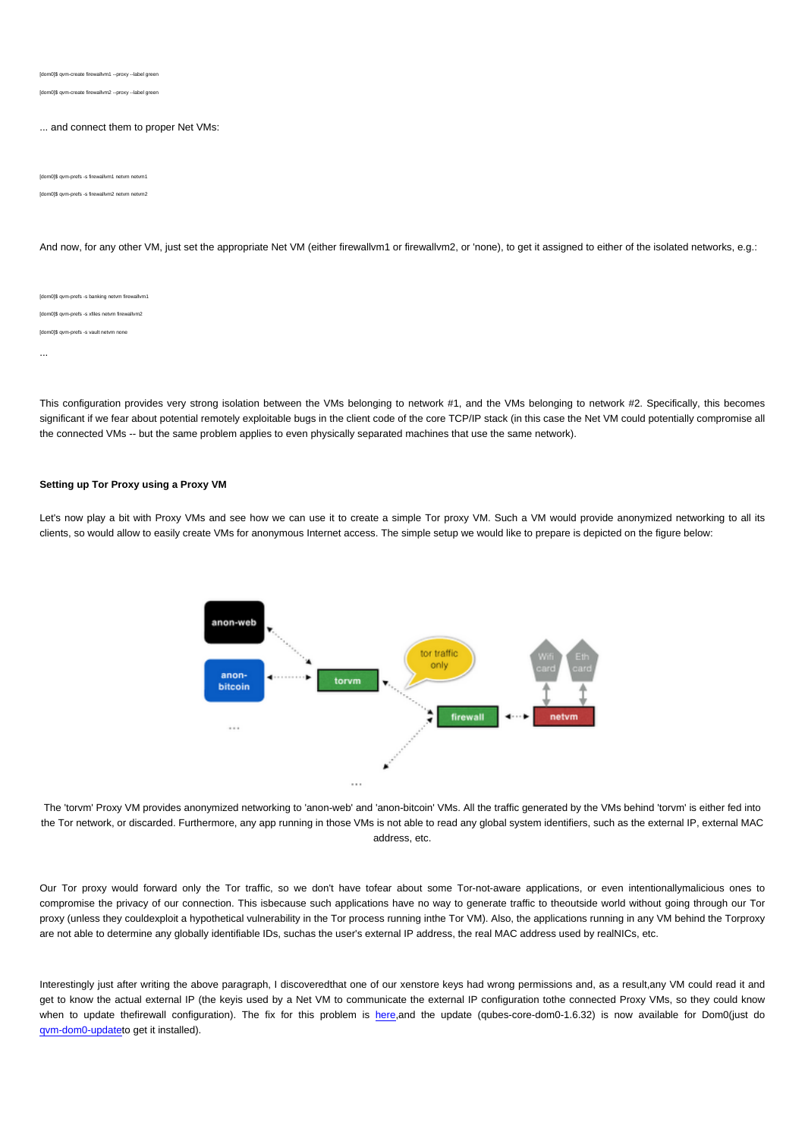[dom0]\$ qvm-create firewallvm1 --proxy --label green

[dom0]\$ qvm-create firewallvm2 --proxy --label green

### ... and connect them to proper Net VMs:

[dom0]\$ qvm-prefs -s firewallvm1 netvm netvm1

[dom0]\$ qvm-prefs -s firewallvm2 netvm netvm2

And now, for any other VM, just set the appropriate Net VM (either firewallvm1 or firewallvm2, or 'none), to get it assigned to either of the isolated networks, e.g.:

[dom0]\$ qvm-prefs -s banking netvm firewallvm1 [dom0]\$ qvm-prefs -s xfiles netvm firewallvm2 [dom0]\$ qvm-prefs -s vault netvm none ...

This configuration provides very strong isolation between the VMs belonging to network #1, and the VMs belonging to network #2. Specifically, this becomes significant if we fear about potential remotely exploitable bugs in the client code of the core TCP/IP stack (in this case the Net VM could potentially compromise all the connected VMs -- but the same problem applies to even physically separated machines that use the same network).

### **Setting up Tor Proxy using a Proxy VM**

Let's now play a bit with Proxy VMs and see how we can use it to create a simple Tor proxy VM. Such a VM would provide anonymized networking to all its clients, so would allow to easily create VMs for anonymous Internet access. The simple setup we would like to prepare is depicted on the figure below:



The 'torvm' Proxy VM provides anonymized networking to 'anon-web' and 'anon-bitcoin' VMs. All the traffic generated by the VMs behind 'torvm' is either fed into the Tor network, or discarded. Furthermore, any app running in those VMs is not able to read any global system identifiers, such as the external IP, external MAC address, etc.

Our Tor proxy would forward only the Tor traffic, so we don't have tofear about some Tor-not-aware applications, or even intentionallymalicious ones to compromise the privacy of our connection. This isbecause such applications have no way to generate traffic to theoutside world without going through our Tor proxy (unless they couldexploit a hypothetical vulnerability in the Tor process running inthe Tor VM). Also, the applications running in any VM behind the Torproxy are not able to determine any globally identifiable IDs, suchas the user's external IP address, the real MAC address used by realNICs, etc.

Interestingly just after writing the above paragraph, I discoveredthat one of our xenstore keys had wrong permissions and, as a result,any VM could read it and get to know the actual external IP (the keyis used by a Net VM to communicate the external IP configuration tothe connected Proxy VMs, so they could know when to update thefirewall configuration). The fix for this problem is [here,](http://git.qubes-os.org/?p=mainstream/core.git;a=commitdiff;h=59f71f634af596c8fe2ef507509bf1ae850286c7)and the update (qubes-core-dom0-1.6.32) is now available for Dom0(just do [qvm-dom0-update](http://wiki.qubes-os.org/trac/wiki/SoftwareUpdateDom0)to get it installed).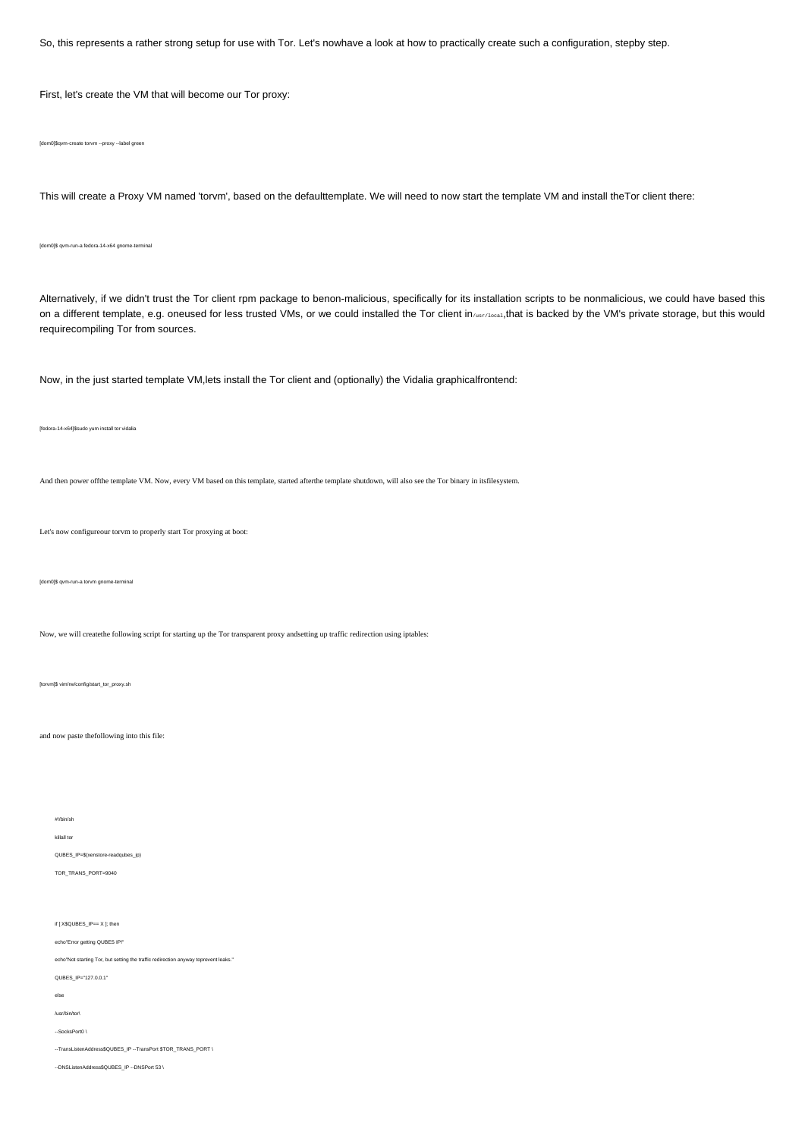So, this represents a rather strong setup for use with Tor. Let's nowhave a look at how to practically create such a configuration, stepby step.

First, let's create the VM that will become our Tor proxy:

[dom0]\$qvm-create torvm --proxy --label green

This will create a Proxy VM named 'torvm', based on the defaulttemplate. We will need to now start the template VM and install theTor client there:

[dom0]\$ qvm-run-a fedora-14-x64 gnome-terminal

Alternatively, if we didn't trust the Tor client rpm package to benon-malicious, specifically for its installation scripts to be nonmalicious, we could have based this on a different template, e.g. oneused for less trusted VMs, or we could installed the Tor client in/usr/local,that is backed by the VM's private storage, but this would requirecompiling Tor from sources.

Now, in the just started template VM,lets install the Tor client and (optionally) the Vidalia graphicalfrontend:

[fedora-14-x64]\$sudo yum install tor vidalia

And then power offthe template VM. Now, every VM based on this template, started afterthe template shutdown, will also see the Tor binary in itsfilesystem.

Let's now configureour torvm to properly start Tor proxying at boot:

[dom0]\$ qvm-run-a torvm gnome-terminal

Now, we will createthe following script for starting up the Tor transparent proxy andsetting up traffic redirection using iptables:

[torvm]\$ vim/rw/config/start\_tor\_proxy.sh

and now paste thefollowing into this file:

#!/bin/sh

killall tor

QUBES\_IP=\$(xenstore-readqubes\_ip) TOR\_TRANS\_PORT=9040

if [ X\$QUBES\_IP== X ]; then

echo"Error getting QUBES IP!"

echo"Not starting Tor, but setting the traffic redirection anyway toprevent leaks."

QUBES\_IP="127.0.0.1"

else

/usr/bin/tor\

--SocksPort0 \

--TransListenAddress\$QUBES\_IP --TransPort \$TOR\_TRANS\_PORT \

--DNSListenAddress\$QUBES\_IP --DNSPort 53 \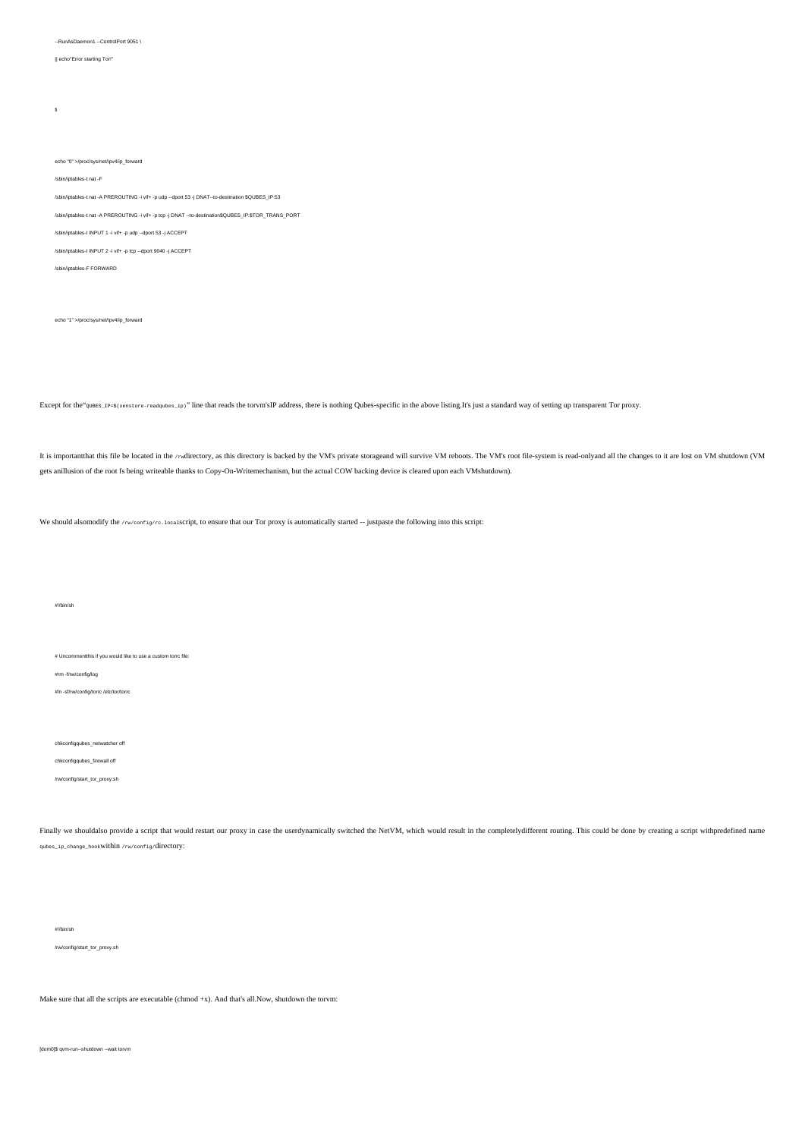--RunAsDaemon1 --ControlPort 9051 \

#### || echo"Error starting Tor!"

fi

echo "0" >/proc/sys/net/ipv4/ip\_forward

/sbin/iptables-t nat -F

- /sbin/iptables-t nat -A PREROUTING -i vif+ -p udp --dport 53 -j DNAT--to-destination \$QUBES\_IP:53
- /sbin/iptables-t nat -A PREROUTING -i vif+ -p tcp -j DNAT --to-destination\$QUBES\_IP:\$TOR\_TRANS\_PORT
- /sbin/iptables-I INPUT 1 -i vif+ -p udp --dport 53 -j ACCEPT
- /sbin/iptables-I INPUT 2 -i vif+ -p tcp --dport 9040 -j ACCEPT
- /sbin/iptables-F FORWARD

echo "1" >/proc/sys/net/ipv4/ip\_forward

Except for the"<sup>20BES\_IP=\$(xenstore-readqubes\_ip)" line that reads the torvm'sIP address, there is nothing Qubes-specific in the above listing.It's just a standard way of setting up transparent Tor proxy.</sup>

It is importantthat this file be located in the /rwdirectory, as this directory is backed by the VM's private storageand will survive VM reboots. The VM's root file-system is read-only and all the changes to it are lost on gets anillusion of the root fs being writeable thanks to Copy-On-Writemechanism, but the actual COW backing device is cleared upon each VMshutdown).

We should alsomodify the /rw/config/rc.localscript, to ensure that our Tor proxy is automatically started -- justpaste the following into this script:

#!/bin/sh

# Uncommentthis if you would like to use a custom torrc file:

#rm -f/rw/config/log

#ln -sf/rw/config/torrc /etc/tor/torrc

chkconfigqubes\_netwatcher off

#### chkconfigqubes\_firewall off

/rw/config/start\_tor\_proxy.sh

Finally we shouldalso provide a script that would restart our proxy in case the userdynamically switched the NetVM, which would result in the completelydifferent routing. This could be done by creating a script withpredefi qubes\_ip\_change\_hookwithin /rw/config/directory:

#!/bin/sh

/rw/config/start\_tor\_proxy.sh

Make sure that all the scripts are executable (chmod +x). And that's all.Now, shutdown the torvm:

[dom0]\$ qvm-run--shutdown --wait torvm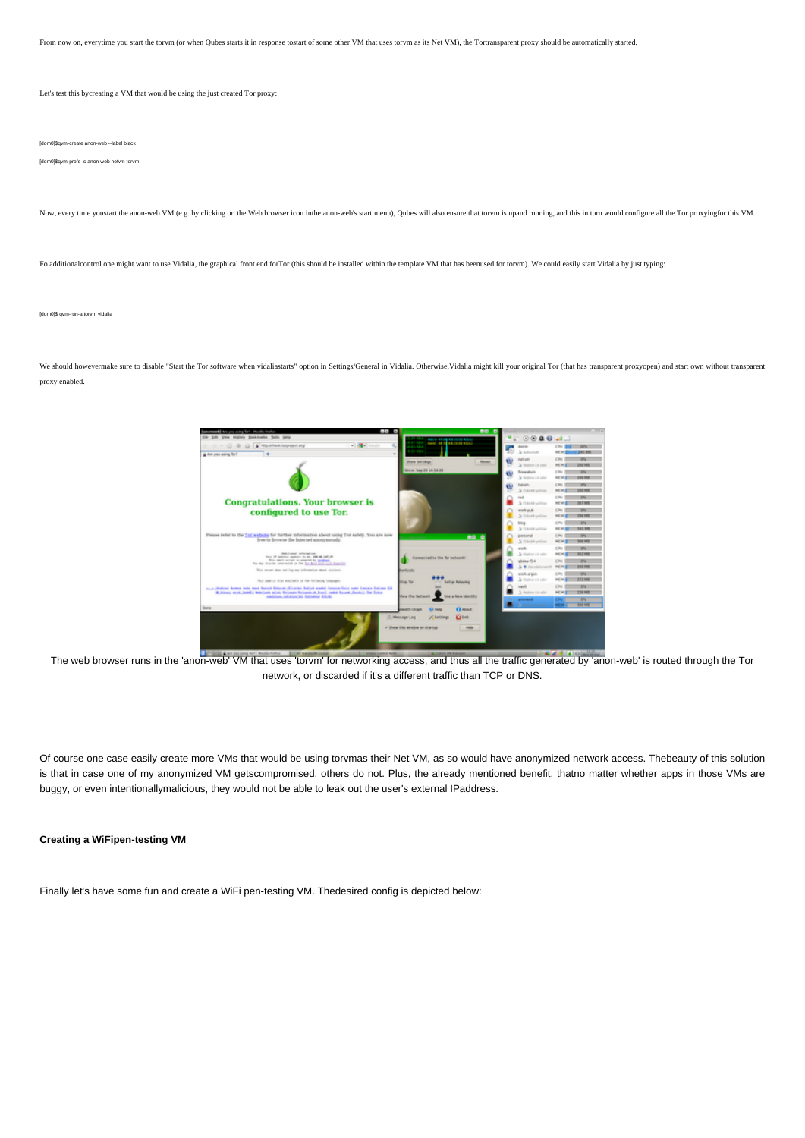From now on, everytime you start the torvm (or when Qubes starts it in response tostart of some other VM that uses torvm as its Net VM), the Tortransparent proxy should be automatically started.

Let's test this bycreating a VM that would be using the just created Tor proxy:

[dom0]\$qvm-create anon-web --label black

[dom0]\$qvm-prefs -s anon-web netvm torvm

Now, every time youstart the anon-web VM (e.g. by clicking on the Web browser icon inthe anon-web's start menu), Qubes will also ensure that torvm is upand running, and this in turn would configure all the Tor proxying for

Fo additionalcontrol one might want to use Vidalia, the graphical front end forTor (this should be installed within the template VM that has beenused for torvm). We could easily start Vidalia by just typing:

[dom0]\$ qvm-run-a torvm vidalia

We should howevermake sure to disable "Start the Tor software when vidaliastarts" option in Settings/General in Vidalia. Otherwise, Vidalia might kill your original Tor (that has transparent proxyopen) and start own withou proxy enabled.



The web browser runs in the 'anon-web' VM that uses 'torvm' for networking access, and thus all the traffic generated by 'anon-web' is routed through the Tor network, or discarded if it's a different traffic than TCP or DNS.

Of course one case easily create more VMs that would be using torvmas their Net VM, as so would have anonymized network access. Thebeauty of this solution is that in case one of my anonymized VM getscompromised, others do not. Plus, the already mentioned benefit, thatno matter whether apps in those VMs are buggy, or even intentionallymalicious, they would not be able to leak out the user's external IPaddress.

## **Creating a WiFipen-testing VM**

Finally let's have some fun and create a WiFi pen-testing VM. Thedesired config is depicted below: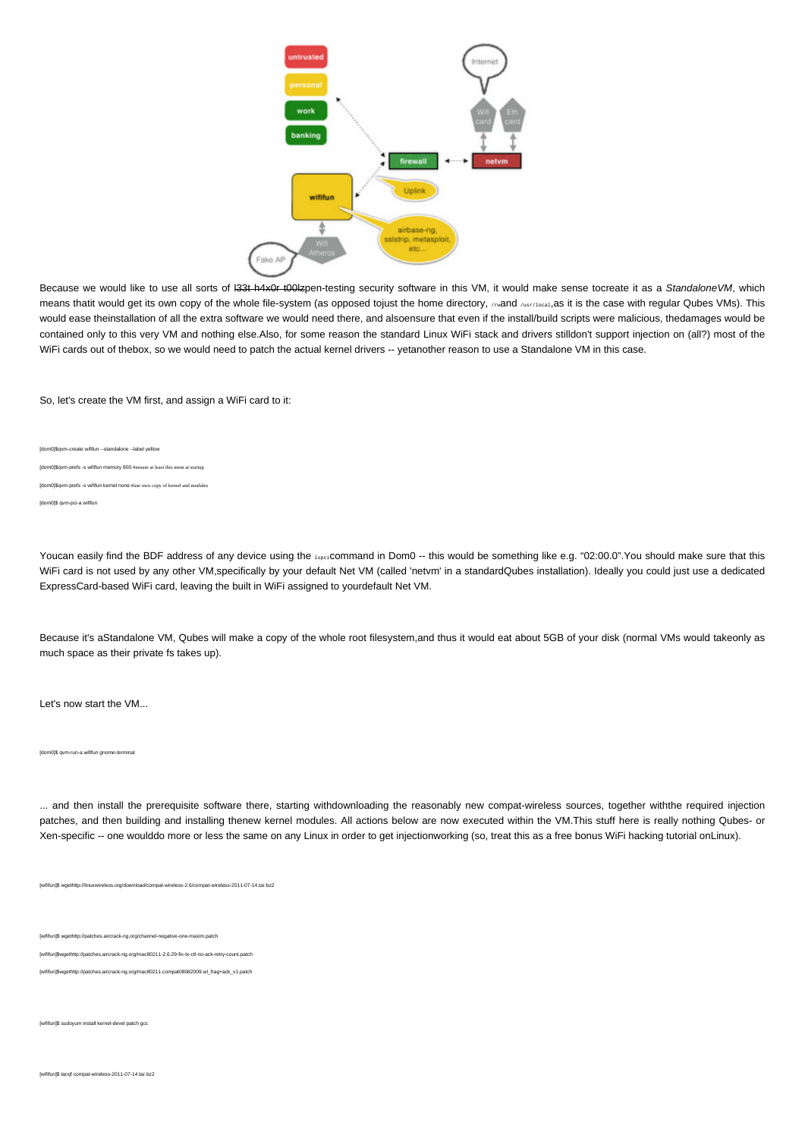

Because we would like to use all sorts of 133t h4x0r t00lzpen-testing security software in this VM, it would make sense tocreate it as a StandaloneVM, which means thatit would get its own copy of the whole file-system (as opposed tojust the home directory, reand /usr/local, as it is the case with regular Qubes VMs). This would ease theinstallation of all the extra software we would need there, and alsoensure that even if the install/build scripts were malicious, thedamages would be contained only to this very VM and nothing else.Also, for some reason the standard Linux WiFi stack and drivers stilldon't support injection on (all?) most of the WiFi cards out of thebox, so we would need to patch the actual kernel drivers -- yetanother reason to use a Standalone VM in this case.

So, let's create the VM first, and assign a WiFi card to it:

[dom0]\$qvm-create wififun --standalone --label yellow [dom0]\$qvm-prefs -s wififun memory 800 #ensure at least this mem at startup .<br>[domn-prefs -s wififun kernel none #use own copy of kernel and modules [dom0]\$ qvm-pci-a wififun

Youcan easily find the BDF address of any device using the 14pc: command in Dom0 -- this would be something like e.g. "02:00.0". You should make sure that this WiFi card is not used by any other VM,specifically by your default Net VM (called 'netvm' in a standardQubes installation). Ideally you could just use a dedicated ExpressCard-based WiFi card, leaving the built in WiFi assigned to yourdefault Net VM.

Because it's aStandalone VM, Qubes will make a copy of the whole root filesystem,and thus it would eat about 5GB of your disk (normal VMs would takeonly as much space as their private fs takes up).

Let's now start the VM...

#### [dom0]\$ qvm-run-a wififun gnome-terminal

... and then install the prerequisite software there, starting withdownloading the reasonably new compat-wireless sources, together withthe required injection patches, and then building and installing thenew kernel modules. All actions below are now executed within the VM.This stuff here is really nothing Qubes- or Xen-specific -- one woulddo more or less the same on any Linux in order to get injectionworking (so, treat this as a free bonus WiFi hacking tutorial onLinux).

[wififun]\$ wgethttp://linuxwireless.org/download/compat-wireless-2.6/compat-wireless-2011-07-14.tar.bz2

[wififun]\$ wgethttp://patches.aircrack-ng.org/channel-negative-one-maxim.patch

[wififun]\$wgethttp://patches.aircrack-ng.org/mac80211-2.6.29-fix-tx-ctl-no-ack-retry-count.patch

[wififun]\$wgethttp://patches.aircrack-ng.org/mac80211.compat08082009.wl\_frag+ack\_v1.patch

[wififun]\$ sudoyum install kernel-devel patch gcc

[wififun]\$ tarxjf compat-wireless-2011-07-14.tar.bz2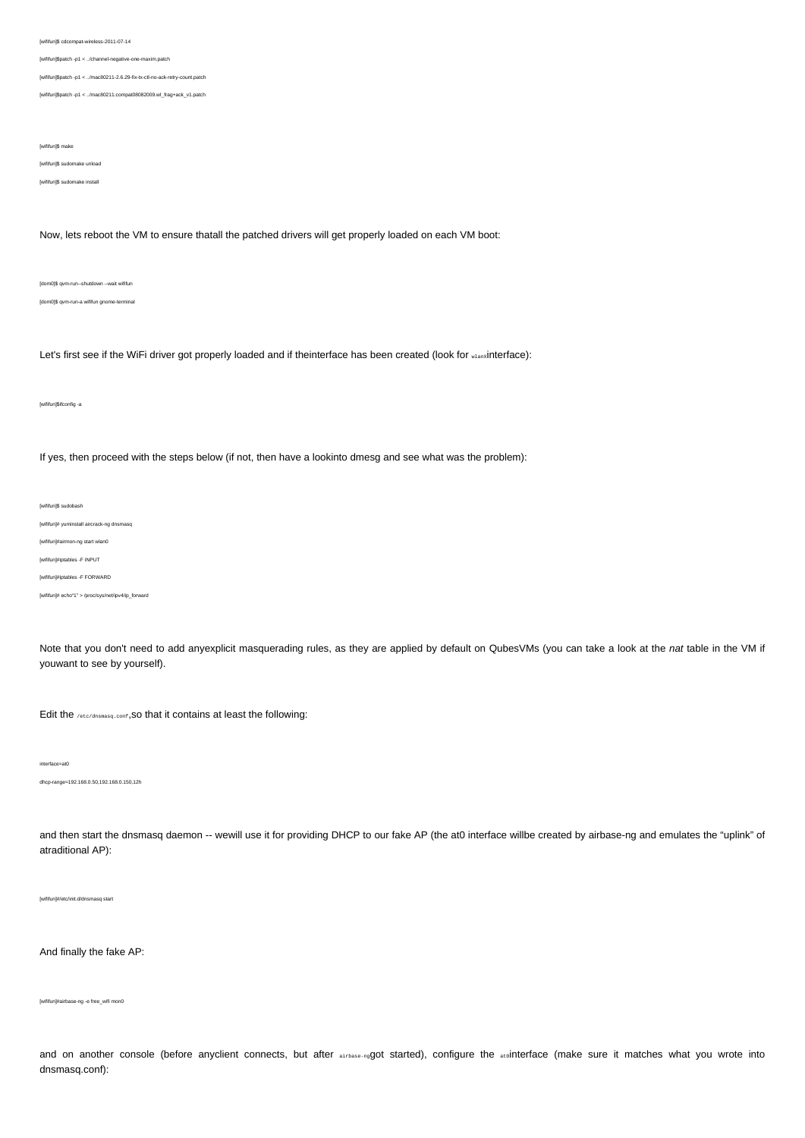[wififun]\$ cdcompat-wireless-2011-07-14

[wififun]\$patch -p1 < ../channel-negative-one-maxim.patch

[wififun]\$patch -p1 < ../mac80211-2.6.29-fix-tx-ctl-no-ack-retry-count.patch

[wififun]\$patch -p1 < ../mac80211.compat08082009.wl\_frag+ack\_v1.patch

[wififun]\$ make

[wififun]\$ sudomake unload

[wififun]\$ sudomake install

Now, lets reboot the VM to ensure thatall the patched drivers will get properly loaded on each VM boot:

[dom0]\$ qvm-run--shutdown --wait wififun [dom0]\$ qvm-run-a wififun gnome-terminal

Let's first see if the WiFi driver got properly loaded and if theinterface has been created (look for wlanxinterface):

[wififun]\$ifconfig -a

If yes, then proceed with the steps below (if not, then have a lookinto dmesg and see what was the problem):

[wififun]\$ sudobash

[wififun]# yuminstall aircrack-ng dnsmasq

[wififun]#airmon-ng start wlan0

[wififun]#iptables -F INPUT

[wififun]#iptables -F FORWARD

[wififun]# echo"1" > /proc/sys/net/ipv4/ip\_forward

Note that you don't need to add anyexplicit masquerading rules, as they are applied by default on QubesVMs (you can take a look at the nat table in the VM if youwant to see by yourself).

Edit the /etc/dnsmasq.conf, SO that it contains at least the following:

interface=at0

dhcp-range=192.168.0.50,192.168.0.150,12h

and then start the dnsmasq daemon -- wewill use it for providing DHCP to our fake AP (the at0 interface willbe created by airbase-ng and emulates the "uplink" of atraditional AP):

[wififun]#/etc/init.d/dnsmasq start

And finally the fake AP:

[wififun]#airbase-ng -e free\_wifi mon0

and on another console (before anyclient connects, but after sirbase-ngQot started), configure the atointerface (make sure it matches what you wrote into dnsmasq.conf):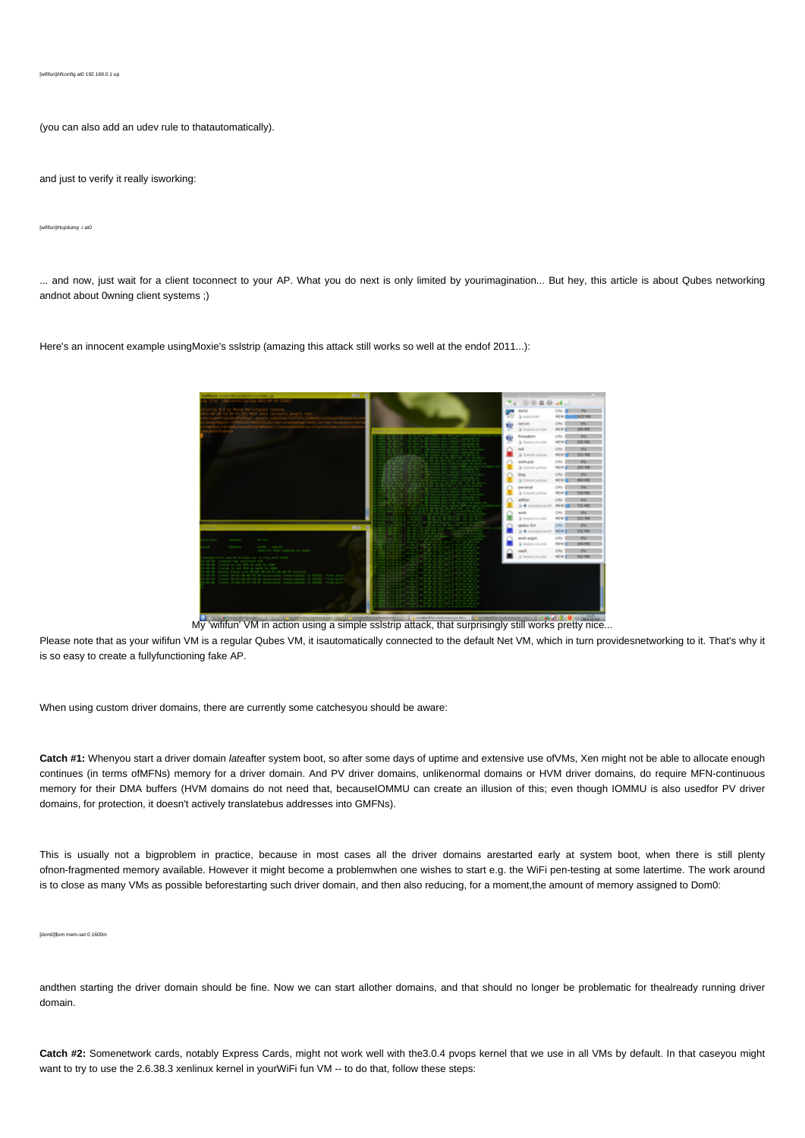(you can also add an udev rule to thatautomatically).

and just to verify it really isworking:

[wififun]#tcpdump -i at0

... and now, just wait for a client toconnect to your AP. What you do next is only limited by yourimagination... But hey, this article is about Qubes networking andnot about 0wning client systems ;)

Here's an innocent example usingMoxie's sslstrip (amazing this attack still works so well at the endof 2011...):



My 'wififun' VM in action using a simple sslstrip attack, that surprisingly still works pretty nice...

Please note that as your wififun VM is a regular Qubes VM, it isautomatically connected to the default Net VM, which in turn providesnetworking to it. That's why it is so easy to create a fullyfunctioning fake AP.

When using custom driver domains, there are currently some catchesyou should be aware:

**Catch #1:** Whenyou start a driver domain lateafter system boot, so after some days of uptime and extensive use ofVMs, Xen might not be able to allocate enough continues (in terms ofMFNs) memory for a driver domain. And PV driver domains, unlikenormal domains or HVM driver domains, do require MFN-continuous memory for their DMA buffers (HVM domains do not need that, becauseIOMMU can create an illusion of this; even though IOMMU is also usedfor PV driver domains, for protection, it doesn't actively translatebus addresses into GMFNs).

This is usually not a bigproblem in practice, because in most cases all the driver domains arestarted early at system boot, when there is still plenty ofnon-fragmented memory available. However it might become a problemwhen one wishes to start e.g. the WiFi pen-testing at some latertime. The work around is to close as many VMs as possible beforestarting such driver domain, and then also reducing, for a moment,the amount of memory assigned to Dom0:

[dom0]\$xm mem-set 0 1600m

andthen starting the driver domain should be fine. Now we can start allother domains, and that should no longer be problematic for thealready running driver domain.

**Catch #2:** Somenetwork cards, notably Express Cards, might not work well with the3.0.4 pvops kernel that we use in all VMs by default. In that caseyou might want to try to use the 2.6.38.3 xenlinux kernel in yourWiFi fun VM -- to do that, follow these steps: